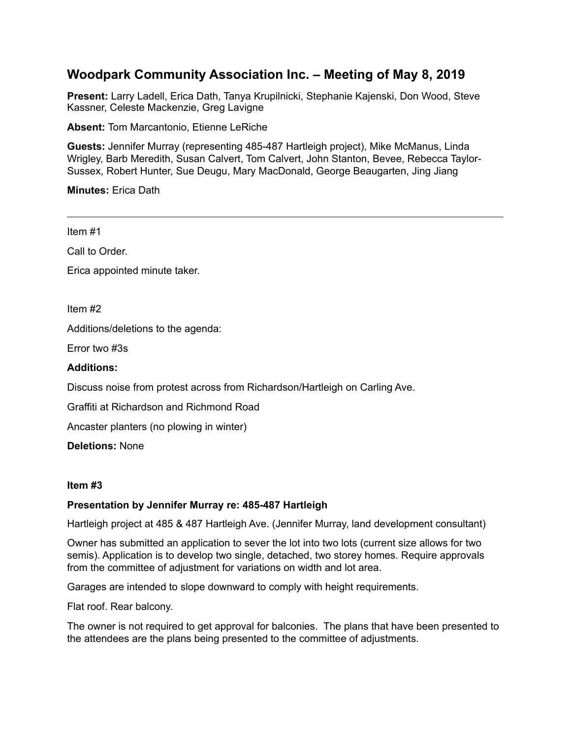# **Woodpark Community Association Inc. – Meeting of May 8, 2019**

**Present:** Larry Ladell, Erica Dath, Tanya Krupilnicki, Stephanie Kajenski, Don Wood, Steve Kassner, Celeste Mackenzie, Greg Lavigne

**Absent:** Tom Marcantonio, Etienne LeRiche

**Guests:** Jennifer Murray (representing 485-487 Hartleigh project), Mike McManus, Linda Wrigley, Barb Meredith, Susan Calvert, Tom Calvert, John Stanton, Bevee, Rebecca Taylor-Sussex, Robert Hunter, Sue Deugu, Mary MacDonald, George Beaugarten, Jing Jiang

**Minutes:** Erica Dath

Item #1

Call to Order.

Erica appointed minute taker.

Item #2

Additions/deletions to the agenda:

Error two #3s

### **Additions:**

Discuss noise from protest across from Richardson/Hartleigh on Carling Ave.

Graffiti at Richardson and Richmond Road

Ancaster planters (no plowing in winter)

**Deletions:** None

#### **Item #3**

## **Presentation by Jennifer Murray re: 485-487 Hartleigh**

Hartleigh project at 485 & 487 Hartleigh Ave. (Jennifer Murray, land development consultant)

Owner has submitted an application to sever the lot into two lots (current size allows for two semis). Application is to develop two single, detached, two storey homes. Require approvals from the committee of adjustment for variations on width and lot area.

Garages are intended to slope downward to comply with height requirements.

Flat roof. Rear balcony.

The owner is not required to get approval for balconies. The plans that have been presented to the attendees are the plans being presented to the committee of adjustments.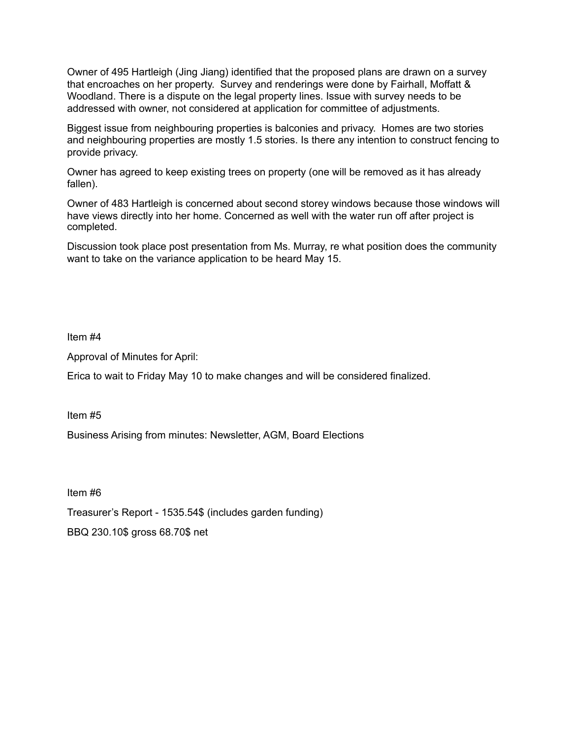Owner of 495 Hartleigh (Jing Jiang) identified that the proposed plans are drawn on a survey that encroaches on her property. Survey and renderings were done by Fairhall, Moffatt & Woodland. There is a dispute on the legal property lines. Issue with survey needs to be addressed with owner, not considered at application for committee of adjustments.

Biggest issue from neighbouring properties is balconies and privacy. Homes are two stories and neighbouring properties are mostly 1.5 stories. Is there any intention to construct fencing to provide privacy.

Owner has agreed to keep existing trees on property (one will be removed as it has already fallen).

Owner of 483 Hartleigh is concerned about second storey windows because those windows will have views directly into her home. Concerned as well with the water run off after project is completed.

Discussion took place post presentation from Ms. Murray, re what position does the community want to take on the variance application to be heard May 15.

Item #4

Approval of Minutes for April:

Erica to wait to Friday May 10 to make changes and will be considered finalized.

Item #5

Business Arising from minutes: Newsletter, AGM, Board Elections

Item #6 Treasurer's Report - 1535.54\$ (includes garden funding) BBQ 230.10\$ gross 68.70\$ net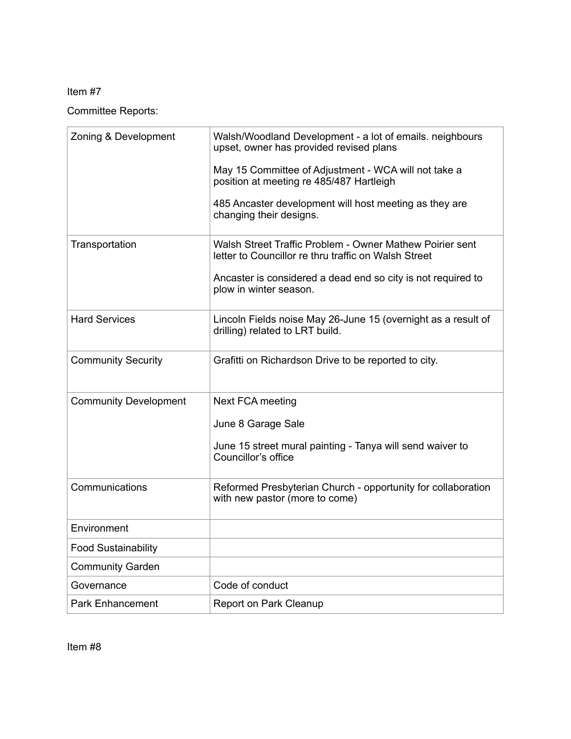# Item #7

Committee Reports:

| Zoning & Development         | Walsh/Woodland Development - a lot of emails. neighbours<br>upset, owner has provided revised plans              |
|------------------------------|------------------------------------------------------------------------------------------------------------------|
|                              | May 15 Committee of Adjustment - WCA will not take a<br>position at meeting re 485/487 Hartleigh                 |
|                              | 485 Ancaster development will host meeting as they are<br>changing their designs.                                |
| Transportation               | Walsh Street Traffic Problem - Owner Mathew Poirier sent<br>letter to Councillor re thru traffic on Walsh Street |
|                              | Ancaster is considered a dead end so city is not required to<br>plow in winter season.                           |
| <b>Hard Services</b>         | Lincoln Fields noise May 26-June 15 (overnight as a result of<br>drilling) related to LRT build.                 |
| <b>Community Security</b>    | Grafitti on Richardson Drive to be reported to city.                                                             |
| <b>Community Development</b> | Next FCA meeting                                                                                                 |
|                              | June 8 Garage Sale                                                                                               |
|                              | June 15 street mural painting - Tanya will send waiver to<br>Councillor's office                                 |
| Communications               | Reformed Presbyterian Church - opportunity for collaboration<br>with new pastor (more to come)                   |
| Environment                  |                                                                                                                  |
| <b>Food Sustainability</b>   |                                                                                                                  |
| <b>Community Garden</b>      |                                                                                                                  |
| Governance                   | Code of conduct                                                                                                  |
| <b>Park Enhancement</b>      | Report on Park Cleanup                                                                                           |